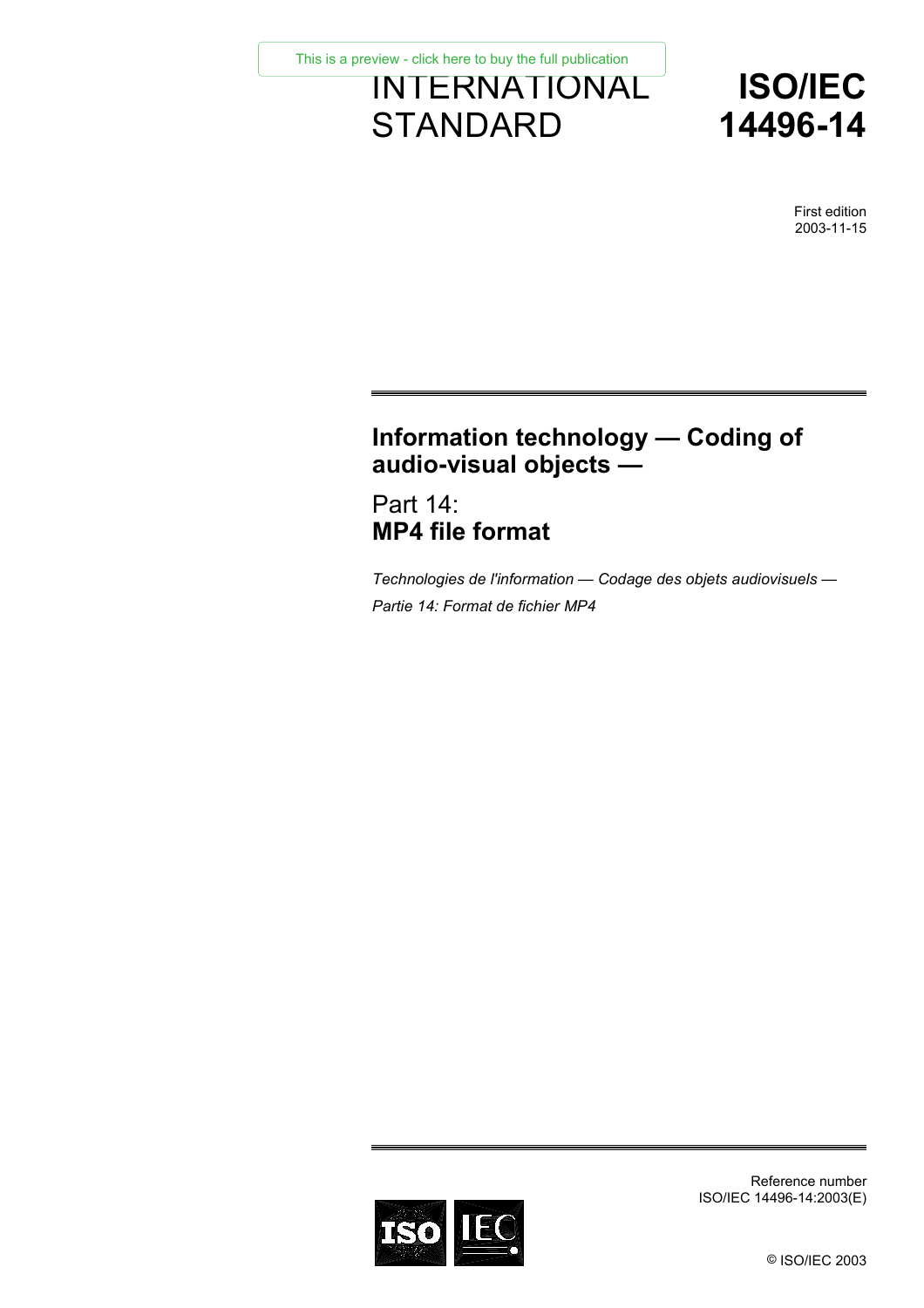INTERNATIONAL **STANDARD** [This is a preview - click here to buy the full publication](https://webstore.iec.ch/publication/9959&preview=1)



First edition 2003-11-15

# **Information technology — Coding of audio-visual objects —**

Part 14: **MP4 file format** 

*Technologies de l'information — Codage des objets audiovisuels — Partie 14: Format de fichier MP4* 



Reference number ISO/IEC 14496-14:2003(E)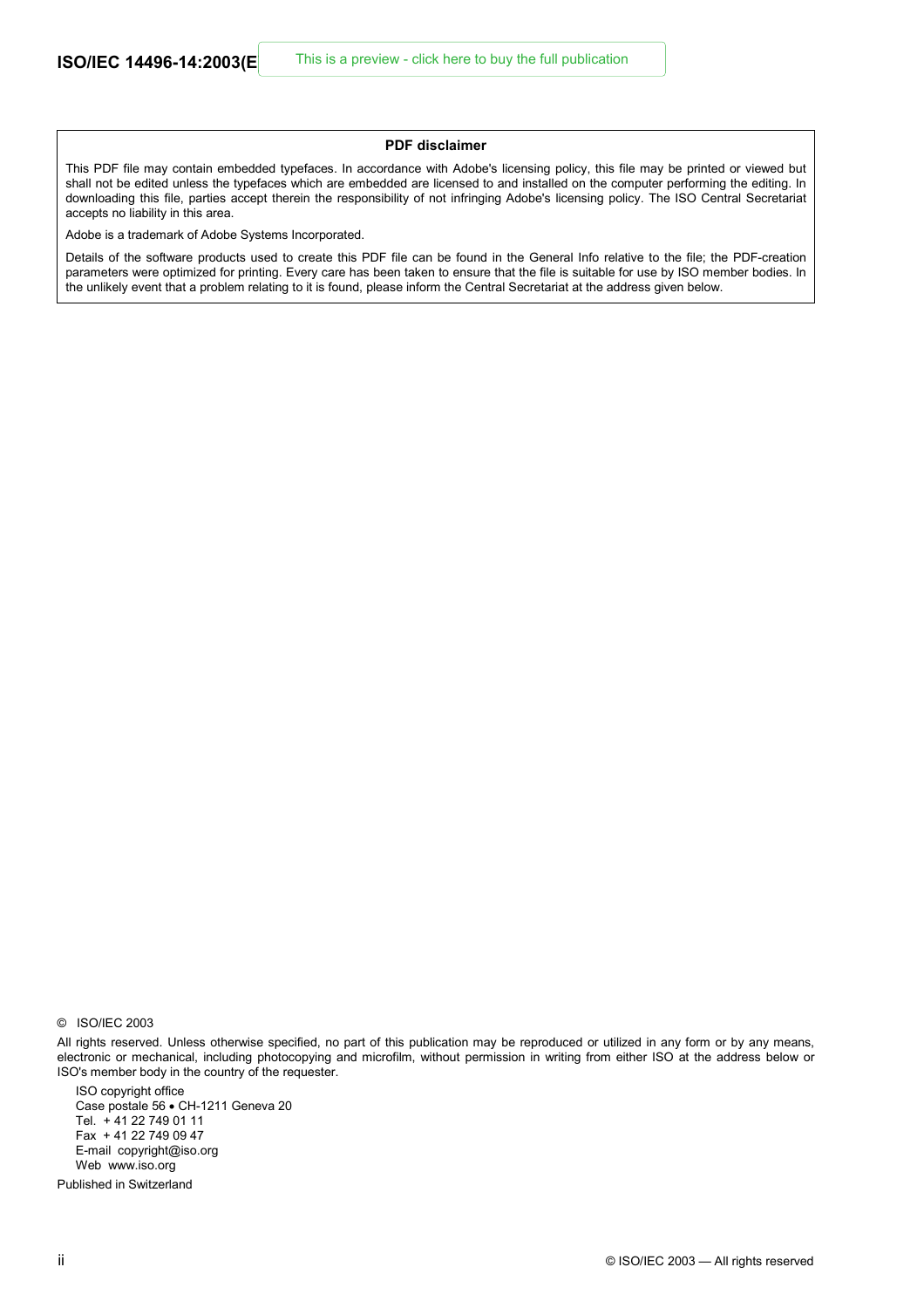#### **PDF disclaimer**

This PDF file may contain embedded typefaces. In accordance with Adobe's licensing policy, this file may be printed or viewed but shall not be edited unless the typefaces which are embedded are licensed to and installed on the computer performing the editing. In downloading this file, parties accept therein the responsibility of not infringing Adobe's licensing policy. The ISO Central Secretariat accepts no liability in this area.

Adobe is a trademark of Adobe Systems Incorporated.

Details of the software products used to create this PDF file can be found in the General Info relative to the file; the PDF-creation parameters were optimized for printing. Every care has been taken to ensure that the file is suitable for use by ISO member bodies. In the unlikely event that a problem relating to it is found, please inform the Central Secretariat at the address given below.

ISO copyright office Case postale 56 • CH-1211 Geneva 20 Tel. + 41 22 749 01 11 Fax + 41 22 749 09 47 E-mail copyright@iso.org Web www.iso.org

Published in Switzerland

<sup>©</sup> ISO/IEC 2003

All rights reserved. Unless otherwise specified, no part of this publication may be reproduced or utilized in any form or by any means, electronic or mechanical, including photocopying and microfilm, without permission in writing from either ISO at the address below or ISO's member body in the country of the requester.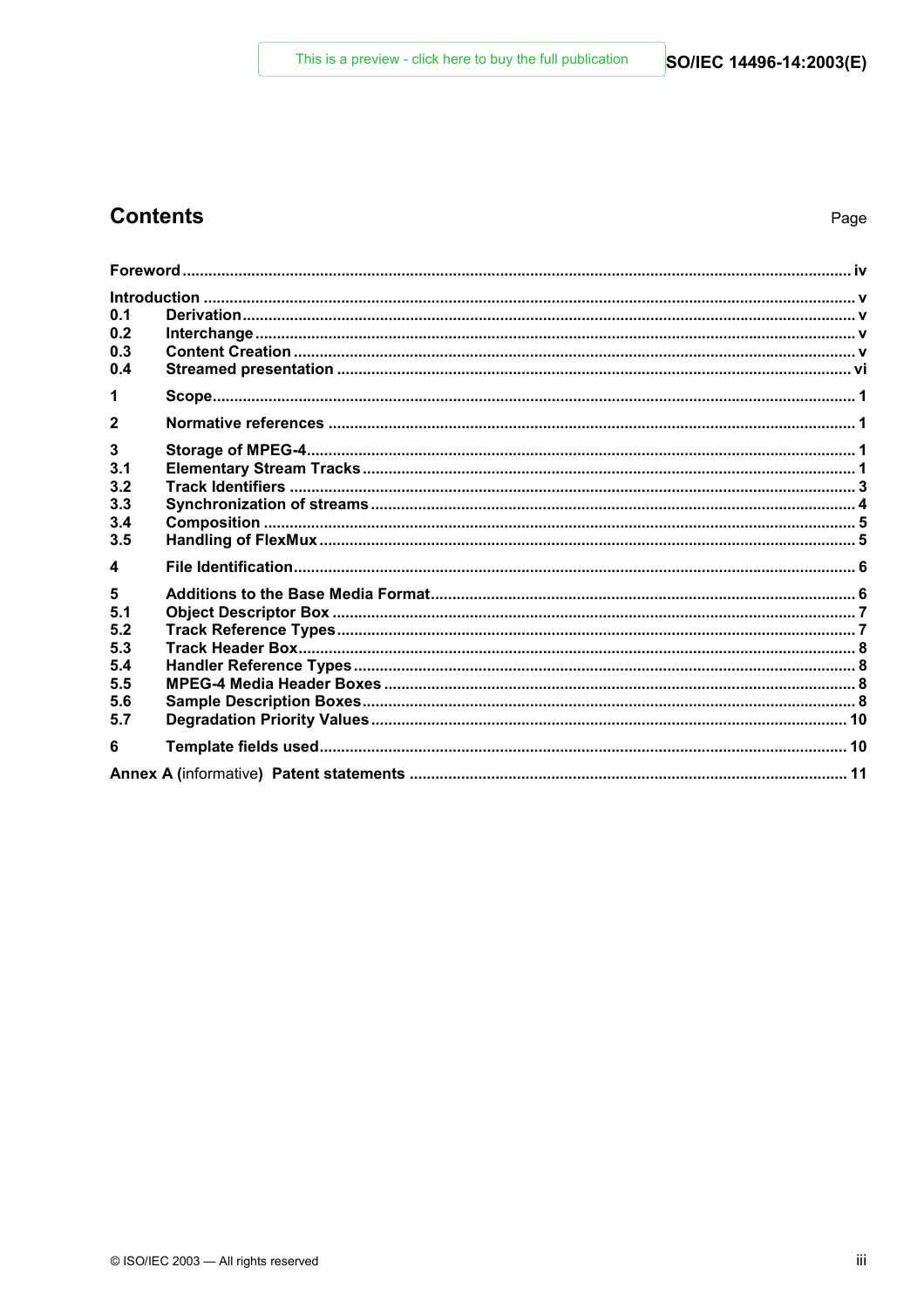# **Contents**

| 0.1              |  |  |
|------------------|--|--|
| 0.2              |  |  |
| 0.3              |  |  |
| 0.4              |  |  |
| 1                |  |  |
| $\mathbf{2}$     |  |  |
| 3                |  |  |
| 3.1              |  |  |
| 3.2              |  |  |
| 3.3              |  |  |
| 3.4              |  |  |
| 3.5              |  |  |
| $\blacktriangle$ |  |  |
| 5                |  |  |
| 5.1              |  |  |
| 5.2              |  |  |
| 5.3              |  |  |
| 5.4              |  |  |
| 5.5              |  |  |
| 5.6              |  |  |
| 5.7              |  |  |
| 6                |  |  |
|                  |  |  |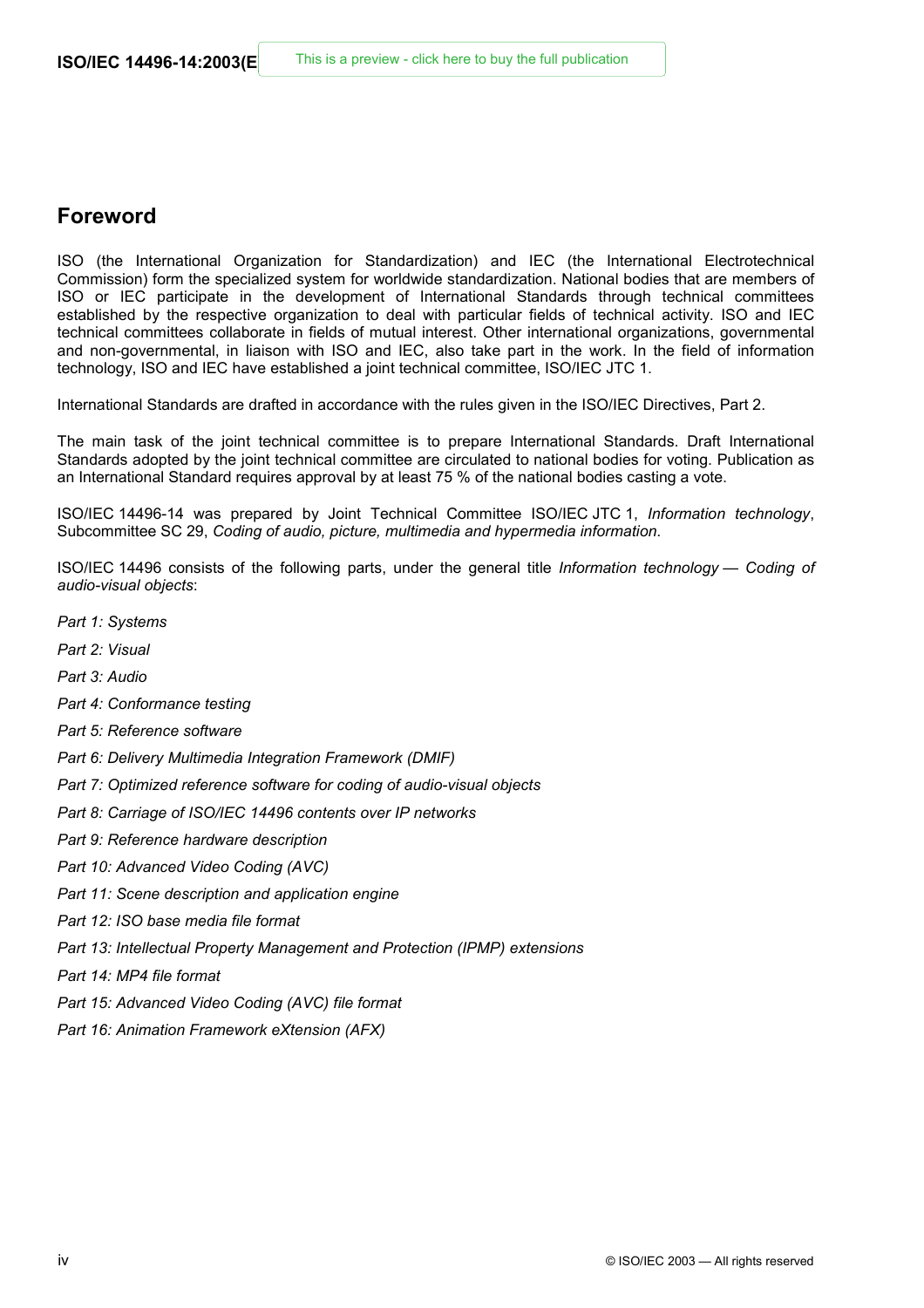## **Foreword**

ISO (the International Organization for Standardization) and IEC (the International Electrotechnical Commission) form the specialized system for worldwide standardization. National bodies that are members of ISO or IEC participate in the development of International Standards through technical committees established by the respective organization to deal with particular fields of technical activity. ISO and IEC technical committees collaborate in fields of mutual interest. Other international organizations, governmental and non-governmental, in liaison with ISO and IEC, also take part in the work. In the field of information technology, ISO and IEC have established a joint technical committee, ISO/IEC JTC 1.

International Standards are drafted in accordance with the rules given in the ISO/IEC Directives, Part 2.

The main task of the joint technical committee is to prepare International Standards. Draft International Standards adopted by the joint technical committee are circulated to national bodies for voting. Publication as an International Standard requires approval by at least 75 % of the national bodies casting a vote.

ISO/IEC 14496-14 was prepared by Joint Technical Committee ISO/IEC JTC 1, *Information technology*, Subcommittee SC 29, *Coding of audio, picture, multimedia and hypermedia information*.

ISO/IEC 14496 consists of the following parts, under the general title *Information technology — Coding of audio-visual objects*:

- *Part 1: Systems*
- *Part 2: Visual*
- *Part 3: Audio*
- *Part 4: Conformance testing*
- *Part 5: Reference software*
- *Part 6: Delivery Multimedia Integration Framework (DMIF)*
- *Part 7: Optimized reference software for coding of audio-visual objects*
- *Part 8: Carriage of ISO/IEC 14496 contents over IP networks*
- *Part 9: Reference hardware description*
- *Part 10: Advanced Video Coding (AVC)*
- *Part 11: Scene description and application engine*
- *Part 12: ISO base media file format*
- *Part 13: Intellectual Property Management and Protection (IPMP) extensions*
- *Part 14: MP4 file format*
- *Part 15: Advanced Video Coding (AVC) file format*
- *Part 16: Animation Framework eXtension (AFX)*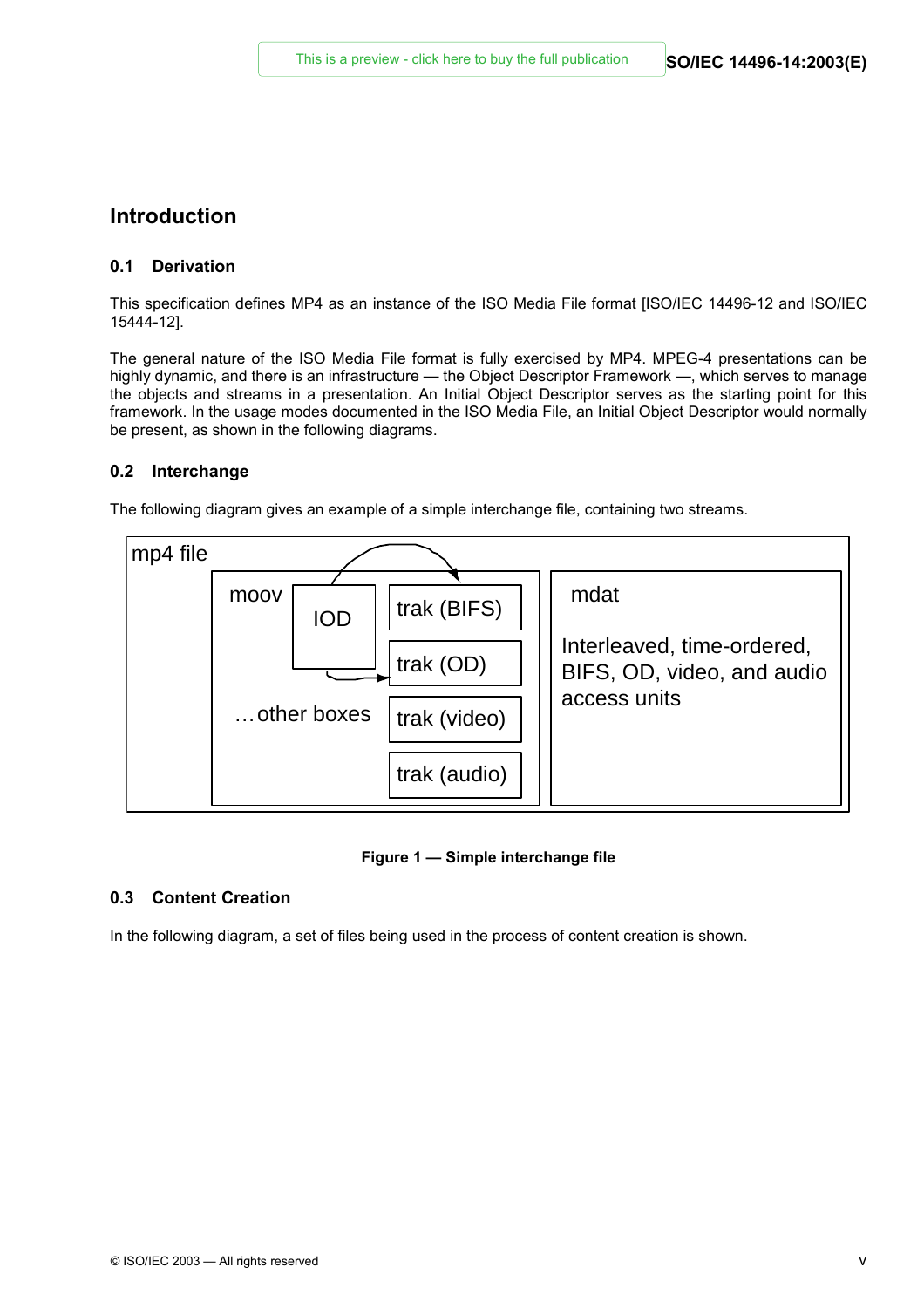## **Introduction**

#### **0.1 Derivation**

This specification defines MP4 as an instance of the ISO Media File format [ISO/IEC 14496-12 and ISO/IEC 15444-12].

The general nature of the ISO Media File format is fully exercised by MP4. MPEG-4 presentations can be highly dynamic, and there is an infrastructure — the Object Descriptor Framework —, which serves to manage the objects and streams in a presentation. An Initial Object Descriptor serves as the starting point for this framework. In the usage modes documented in the ISO Media File, an Initial Object Descriptor would normally be present, as shown in the following diagrams.

#### **0.2 Interchange**

The following diagram gives an example of a simple interchange file, containing two streams.



#### **Figure 1 — Simple interchange file**

### **0.3 Content Creation**

In the following diagram, a set of files being used in the process of content creation is shown.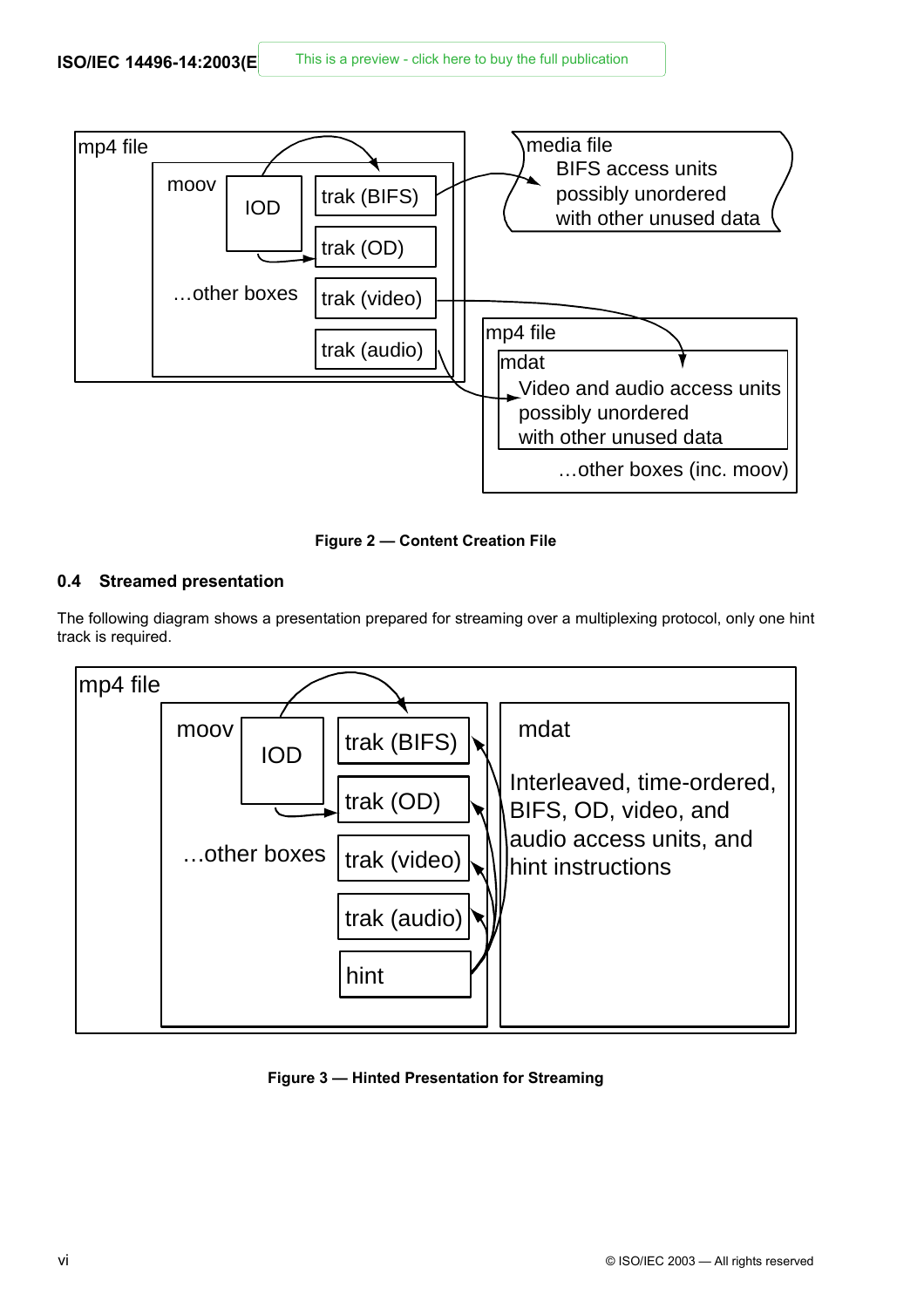

**Figure 2 — Content Creation File** 

### **0.4 Streamed presentation**

The following diagram shows a presentation prepared for streaming over a multiplexing protocol, only one hint track is required.